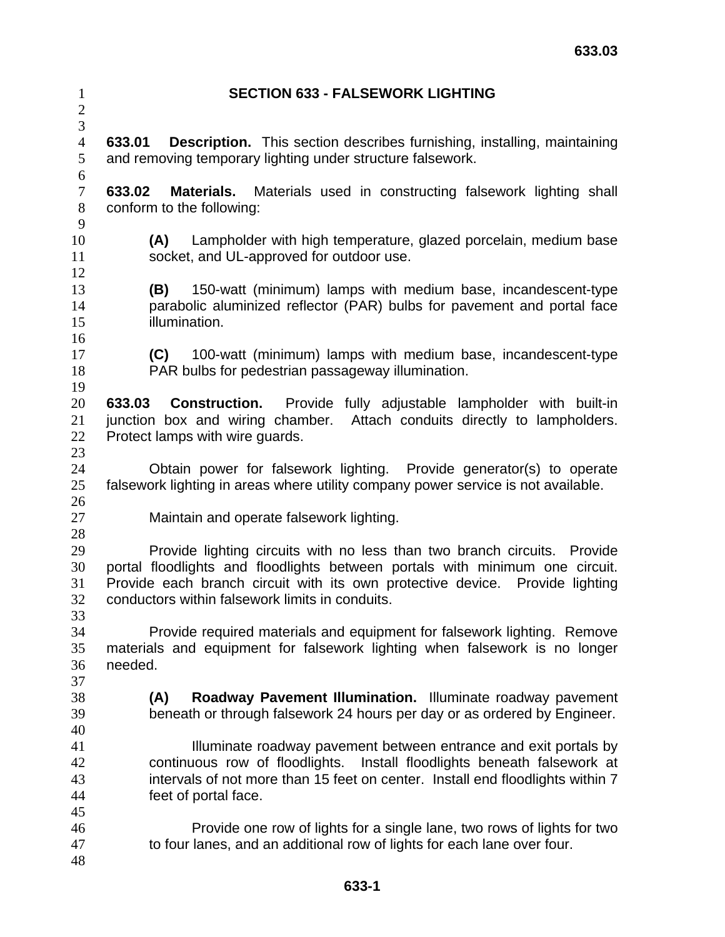| $\mathbf{1}$<br>$\sqrt{2}$                 | <b>SECTION 633 - FALSEWORK LIGHTING</b>                                                                                                                                                                                                                                                     |
|--------------------------------------------|---------------------------------------------------------------------------------------------------------------------------------------------------------------------------------------------------------------------------------------------------------------------------------------------|
| 3<br>$\overline{4}$<br>$\mathfrak{S}$<br>6 | <b>Description.</b> This section describes furnishing, installing, maintaining<br>633.01<br>and removing temporary lighting under structure falsework.                                                                                                                                      |
| $\tau$<br>8<br>9                           | 633.02<br><b>Materials.</b> Materials used in constructing falsework lighting shall<br>conform to the following:                                                                                                                                                                            |
| 10<br>11                                   | Lampholder with high temperature, glazed porcelain, medium base<br>(A)<br>socket, and UL-approved for outdoor use.                                                                                                                                                                          |
| 12<br>13<br>14<br>15<br>16                 | 150-watt (minimum) lamps with medium base, incandescent-type<br>(B)<br>parabolic aluminized reflector (PAR) bulbs for pavement and portal face<br>illumination.                                                                                                                             |
| 17<br>18<br>19                             | 100-watt (minimum) lamps with medium base, incandescent-type<br>(C)<br>PAR bulbs for pedestrian passageway illumination.                                                                                                                                                                    |
| 20<br>21<br>22<br>23                       | <b>Construction.</b> Provide fully adjustable lampholder with built-in<br>633.03<br>junction box and wiring chamber. Attach conduits directly to lampholders.<br>Protect lamps with wire guards.                                                                                            |
| 24<br>25<br>26                             | Obtain power for falsework lighting. Provide generator(s) to operate<br>falsework lighting in areas where utility company power service is not available.                                                                                                                                   |
| 27<br>28                                   | Maintain and operate falsework lighting.                                                                                                                                                                                                                                                    |
| 29<br>30<br>31<br>32<br>33                 | Provide lighting circuits with no less than two branch circuits. Provide<br>portal floodlights and floodlights between portals with minimum one circuit.<br>Provide each branch circuit with its own protective device. Provide lighting<br>conductors within falsework limits in conduits. |
| 34<br>35<br>36<br>37                       | Provide required materials and equipment for falsework lighting. Remove<br>materials and equipment for falsework lighting when falsework is no longer<br>needed.                                                                                                                            |
| 38<br>39<br>40                             | Roadway Pavement Illumination. Illuminate roadway pavement<br>(A)<br>beneath or through falsework 24 hours per day or as ordered by Engineer.                                                                                                                                               |
| 41<br>42<br>43<br>44<br>45                 | Illuminate roadway pavement between entrance and exit portals by<br>continuous row of floodlights. Install floodlights beneath falsework at<br>intervals of not more than 15 feet on center. Install end floodlights within 7<br>feet of portal face.                                       |
| 46<br>47<br>48                             | Provide one row of lights for a single lane, two rows of lights for two<br>to four lanes, and an additional row of lights for each lane over four.                                                                                                                                          |